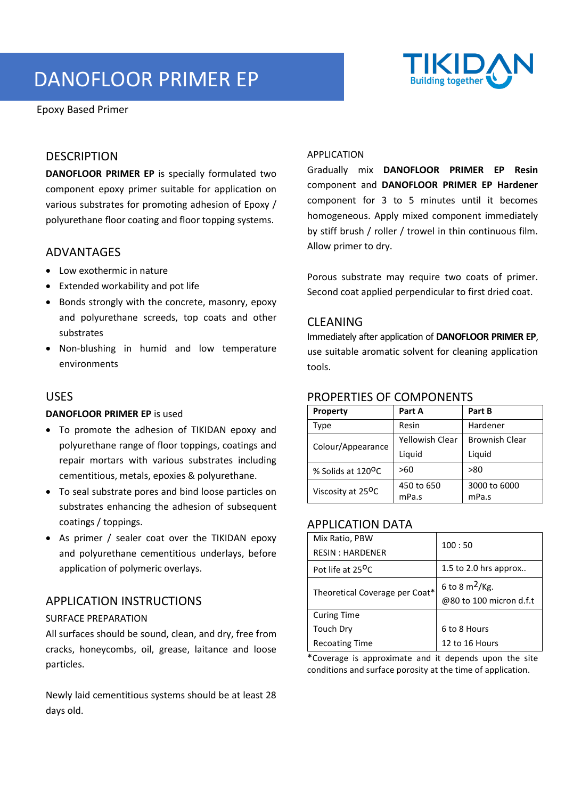# DANOFLOOR PRIMER EP



Epoxy Based Primer

# **DESCRIPTION**

**DANOFLOOR PRIMER EP** is specially formulated two component epoxy primer suitable for application on various substrates for promoting adhesion of Epoxy / polyurethane floor coating and floor topping systems.

### ADVANTAGES

- Low exothermic in nature
- Extended workability and pot life
- Bonds strongly with the concrete, masonry, epoxy and polyurethane screeds, top coats and other substrates
- Non-blushing in humid and low temperature environments

### USES

#### **DANOFLOOR PRIMER EP** is used

- To promote the adhesion of TIKIDAN epoxy and polyurethane range of floor toppings, coatings and repair mortars with various substrates including cementitious, metals, epoxies & polyurethane.
- To seal substrate pores and bind loose particles on substrates enhancing the adhesion of subsequent coatings / toppings.
- As primer / sealer coat over the TIKIDAN epoxy and polyurethane cementitious underlays, before application of polymeric overlays.

### APPLICATION INSTRUCTIONS

#### SURFACE PREPARATION

All surfaces should be sound, clean, and dry, free from cracks, honeycombs, oil, grease, laitance and loose particles.

Newly laid cementitious systems should be at least 28 days old.

#### APPLICATION

Gradually mix **DANOFLOOR PRIMER EP Resin** component and **DANOFLOOR PRIMER EP Hardener** component for 3 to 5 minutes until it becomes homogeneous. Apply mixed component immediately by stiff brush / roller / trowel in thin continuous film. Allow primer to dry.

Porous substrate may require two coats of primer. Second coat applied perpendicular to first dried coat.

#### CLEANING

Immediately after application of **DANOFLOOR PRIMER EP**, use suitable aromatic solvent for cleaning application tools.

#### PROPERTIES OF COMPONENTS

| <b>Property</b>                | Part A                 | Part B                |
|--------------------------------|------------------------|-----------------------|
| Type                           | Resin                  | Hardener              |
| Colour/Appearance              | <b>Yellowish Clear</b> | <b>Brownish Clear</b> |
|                                | Liquid                 | Liquid                |
| % Solids at 120 <sup>o</sup> C | >60                    | >80                   |
| Viscosity at 25 <sup>O</sup> C | 450 to 650             | 3000 to 6000          |
|                                | mPa.s                  | mPa.s                 |

## APPLICATION DATA

| Mix Ratio, PBW                 | 100:50                  |  |
|--------------------------------|-------------------------|--|
| <b>RESIN: HARDENER</b>         |                         |  |
| Pot life at 25 <sup>O</sup> C  | 1.5 to 2.0 hrs approx   |  |
| Theoretical Coverage per Coat* | 6 to 8 $m^2$ /Kg.       |  |
|                                | @80 to 100 micron d.f.t |  |
| <b>Curing Time</b>             |                         |  |
| Touch Dry                      | 6 to 8 Hours            |  |
| <b>Recoating Time</b>          | 12 to 16 Hours          |  |

\*Coverage is approximate and it depends upon the site conditions and surface porosity at the time of application.